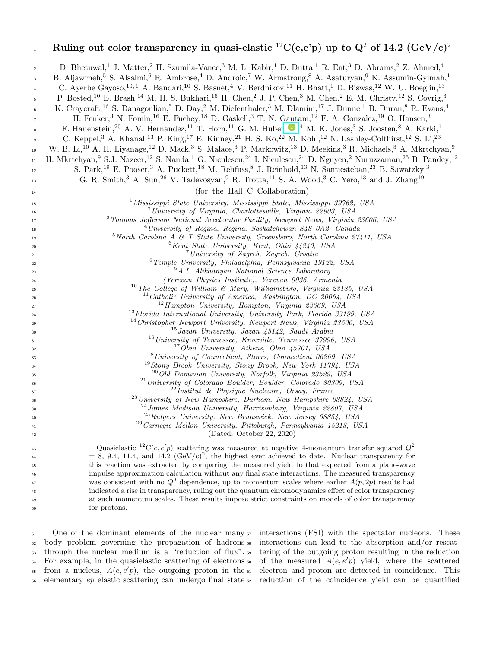| $\,$ 1                                                            | Ruling out color transparency in quasi-elastic <sup>12</sup> C(e,e'p) up to $Q^2$ of 14.2 (GeV/c) <sup>2</sup>                                                                                                                                                                                                                                                                                                                                                                                                                                                                                                                                                                                                                                                                                                                                                                                                                                                                                                                                                                                                                                                                |
|-------------------------------------------------------------------|-------------------------------------------------------------------------------------------------------------------------------------------------------------------------------------------------------------------------------------------------------------------------------------------------------------------------------------------------------------------------------------------------------------------------------------------------------------------------------------------------------------------------------------------------------------------------------------------------------------------------------------------------------------------------------------------------------------------------------------------------------------------------------------------------------------------------------------------------------------------------------------------------------------------------------------------------------------------------------------------------------------------------------------------------------------------------------------------------------------------------------------------------------------------------------|
| $\overline{2}$<br>3<br>$\overline{4}$<br>5<br>6<br>$\overline{7}$ | D. Bhetuwal, <sup>1</sup> J. Matter, <sup>2</sup> H. Szumila-Vance, <sup>3</sup> M. L. Kabir, <sup>1</sup> D. Dutta, <sup>1</sup> R. Ent, <sup>3</sup> D. Abrams, <sup>2</sup> Z. Ahmed, <sup>4</sup><br>B. Aljawrneh, <sup>5</sup> S. Alsalmi, <sup>6</sup> R. Ambrose, <sup>4</sup> D. Androic, <sup>7</sup> W. Armstrong, <sup>8</sup> A. Asaturyan, <sup>9</sup> K. Assumin-Gyimah, <sup>1</sup><br>C. Ayerbe Gayoso, $^{10,1}$ A. Bandari, $^{10}$ S. Basnet, $^{4}$ V. Berdnikov, $^{11}$ H. Bhatt, $^{1}$ D. Biswas, $^{12}$ W. U. Boeglin, $^{13}$<br>P. Bosted, <sup>10</sup> E. Brash, <sup>14</sup> M. H. S. Bukhari, <sup>15</sup> H. Chen, <sup>2</sup> J. P. Chen, <sup>3</sup> M. Chen, <sup>2</sup> E. M. Christy, <sup>12</sup> S. Covrig, <sup>3</sup><br>K. Craycraft, <sup>16</sup> S. Danagoulian, <sup>5</sup> D. Day, <sup>2</sup> M. Diefenthaler, <sup>3</sup> M. Dlamini, <sup>17</sup> J. Dunne, <sup>1</sup> B. Duran, <sup>8</sup> R. Evans, <sup>4</sup><br>H. Fenker, <sup>3</sup> N. Fomin, <sup>16</sup> E. Fuchey, <sup>18</sup> D. Gaskell, <sup>3</sup> T. N. Gautam, <sup>12</sup> F. A. Gonzalez, <sup>19</sup> O. Hansen, <sup>3</sup> |
| 8                                                                 | F. Hauenstein, <sup>20</sup> A. V. Hernandez, <sup>11</sup> T. Horn, <sup>11</sup> G. M. Huber $\bigcirc$ , <sup>4</sup> M. K. Jones, <sup>3</sup> S. Joosten, <sup>8</sup> A. Karki, <sup>1</sup>                                                                                                                                                                                                                                                                                                                                                                                                                                                                                                                                                                                                                                                                                                                                                                                                                                                                                                                                                                            |
| 9                                                                 | C. Keppel, <sup>3</sup> A. Khanal, <sup>13</sup> P. King, <sup>17</sup> E. Kinney, <sup>21</sup> H. S. Ko, <sup>22</sup> M. Kohl, <sup>12</sup> N. Lashley-Colthirst, <sup>12</sup> S. Li, <sup>23</sup>                                                                                                                                                                                                                                                                                                                                                                                                                                                                                                                                                                                                                                                                                                                                                                                                                                                                                                                                                                      |
| 10                                                                | W. B. Li, <sup>10</sup> A. H. Liyanage, <sup>12</sup> D. Mack, <sup>3</sup> S. Malace, <sup>3</sup> P. Markowitz, <sup>13</sup> D. Meekins, <sup>3</sup> R. Michaels, <sup>3</sup> A. Mkrtchyan, <sup>9</sup>                                                                                                                                                                                                                                                                                                                                                                                                                                                                                                                                                                                                                                                                                                                                                                                                                                                                                                                                                                 |
| $11\,$                                                            | H. Mkrtchyan, <sup>9</sup> S.J. Nazeer, <sup>12</sup> S. Nanda, <sup>1</sup> G. Niculescu, <sup>24</sup> I. Niculescu, <sup>24</sup> D. Nguyen, <sup>2</sup> Nuruzzaman, <sup>25</sup> B. Pandey, <sup>12</sup>                                                                                                                                                                                                                                                                                                                                                                                                                                                                                                                                                                                                                                                                                                                                                                                                                                                                                                                                                               |
| 12                                                                | S. Park, <sup>19</sup> E. Pooser, <sup>3</sup> A. Puckett, <sup>18</sup> M. Rehfuss, <sup>8</sup> J. Reinhold, <sup>13</sup> N. Santiesteban, <sup>23</sup> B. Sawatzky, <sup>3</sup>                                                                                                                                                                                                                                                                                                                                                                                                                                                                                                                                                                                                                                                                                                                                                                                                                                                                                                                                                                                         |
| 13                                                                | G. R. Smith, <sup>3</sup> A. Sun, <sup>26</sup> V. Tadevosyan, <sup>9</sup> R. Trotta, <sup>11</sup> S. A. Wood, <sup>3</sup> C. Yero, <sup>13</sup> and J. Zhang <sup>19</sup>                                                                                                                                                                                                                                                                                                                                                                                                                                                                                                                                                                                                                                                                                                                                                                                                                                                                                                                                                                                               |
| 14                                                                | (for the Hall C Collaboration)                                                                                                                                                                                                                                                                                                                                                                                                                                                                                                                                                                                                                                                                                                                                                                                                                                                                                                                                                                                                                                                                                                                                                |
| 15                                                                | <sup>1</sup> Mississippi State University, Mississippi State, Mississippi 39762, USA                                                                                                                                                                                                                                                                                                                                                                                                                                                                                                                                                                                                                                                                                                                                                                                                                                                                                                                                                                                                                                                                                          |
| 16                                                                | <sup>2</sup> University of Virginia, Charlottesville, Virginia 22903, USA                                                                                                                                                                                                                                                                                                                                                                                                                                                                                                                                                                                                                                                                                                                                                                                                                                                                                                                                                                                                                                                                                                     |
| 17                                                                | <sup>3</sup> Thomas Jefferson National Accelerator Facility, Newport News, Virginia 23606, USA                                                                                                                                                                                                                                                                                                                                                                                                                                                                                                                                                                                                                                                                                                                                                                                                                                                                                                                                                                                                                                                                                |
| 18                                                                | $^4$ University of Regina, Regina, Saskatchewan S4S 0A2, Canada<br>$5$ North Carolina A & T State University, Greensboro, North Carolina 27411, USA                                                                                                                                                                                                                                                                                                                                                                                                                                                                                                                                                                                                                                                                                                                                                                                                                                                                                                                                                                                                                           |
| 19<br>20                                                          | ${}^6$ Kent State University, Kent, Ohio 44240, USA                                                                                                                                                                                                                                                                                                                                                                                                                                                                                                                                                                                                                                                                                                                                                                                                                                                                                                                                                                                                                                                                                                                           |
| 21                                                                | <sup>7</sup> University of Zagreb, Zagreb, Croatia                                                                                                                                                                                                                                                                                                                                                                                                                                                                                                                                                                                                                                                                                                                                                                                                                                                                                                                                                                                                                                                                                                                            |
| 22                                                                | <sup>8</sup> Temple University, Philadelphia, Pennsylvania 19122, USA                                                                                                                                                                                                                                                                                                                                                                                                                                                                                                                                                                                                                                                                                                                                                                                                                                                                                                                                                                                                                                                                                                         |
| 23                                                                | $9A.I.$ Alikhanyan National Science Laboratory                                                                                                                                                                                                                                                                                                                                                                                                                                                                                                                                                                                                                                                                                                                                                                                                                                                                                                                                                                                                                                                                                                                                |
| 24                                                                | (Yerevan Physics Institute), Yerevan 0036, Armenia                                                                                                                                                                                                                                                                                                                                                                                                                                                                                                                                                                                                                                                                                                                                                                                                                                                                                                                                                                                                                                                                                                                            |
| 25                                                                | <sup>10</sup> The College of William & Mary, Williamsburg, Virginia 23185, USA                                                                                                                                                                                                                                                                                                                                                                                                                                                                                                                                                                                                                                                                                                                                                                                                                                                                                                                                                                                                                                                                                                |
| 26                                                                | $11$ Catholic University of America, Washington, DC 20064, USA<br>$12$ Hampton University, Hampton, Virginia 23669, USA                                                                                                                                                                                                                                                                                                                                                                                                                                                                                                                                                                                                                                                                                                                                                                                                                                                                                                                                                                                                                                                       |
| 27                                                                | <sup>13</sup> Florida International University, University Park, Florida 33199, USA                                                                                                                                                                                                                                                                                                                                                                                                                                                                                                                                                                                                                                                                                                                                                                                                                                                                                                                                                                                                                                                                                           |
| 28<br>29                                                          | <sup>14</sup> Christopher Newport University, Newport News, Virginia 23606, USA                                                                                                                                                                                                                                                                                                                                                                                                                                                                                                                                                                                                                                                                                                                                                                                                                                                                                                                                                                                                                                                                                               |
| 30                                                                | $15 \text{ Jazan}$ University, Jazan 45142, Saudi Arabia                                                                                                                                                                                                                                                                                                                                                                                                                                                                                                                                                                                                                                                                                                                                                                                                                                                                                                                                                                                                                                                                                                                      |
| 31                                                                | <sup>16</sup> University of Tennessee, Knoxville, Tennessee 37996, USA                                                                                                                                                                                                                                                                                                                                                                                                                                                                                                                                                                                                                                                                                                                                                                                                                                                                                                                                                                                                                                                                                                        |
| 32                                                                | <sup>17</sup> Ohio University, Athens, Ohio 45701, USA                                                                                                                                                                                                                                                                                                                                                                                                                                                                                                                                                                                                                                                                                                                                                                                                                                                                                                                                                                                                                                                                                                                        |
| 33                                                                | <sup>18</sup> University of Connecticut, Storrs, Connecticut 06269, USA                                                                                                                                                                                                                                                                                                                                                                                                                                                                                                                                                                                                                                                                                                                                                                                                                                                                                                                                                                                                                                                                                                       |
| 34                                                                | <sup>19</sup> Stony Brook University, Stony Brook, New York 11794, USA                                                                                                                                                                                                                                                                                                                                                                                                                                                                                                                                                                                                                                                                                                                                                                                                                                                                                                                                                                                                                                                                                                        |
| 35                                                                | <sup>20</sup> Old Dominion University, Norfolk, Virginia 23529, USA<br><sup>21</sup> University of Colorado Boulder, Boulder, Colorado 80309, USA                                                                                                                                                                                                                                                                                                                                                                                                                                                                                                                                                                                                                                                                                                                                                                                                                                                                                                                                                                                                                             |
| 36                                                                | $^{22}$ Institut de Physique Nucleaire, Orsay, France                                                                                                                                                                                                                                                                                                                                                                                                                                                                                                                                                                                                                                                                                                                                                                                                                                                                                                                                                                                                                                                                                                                         |
| 37<br>38                                                          | <sup>23</sup> University of New Hampshire, Durham, New Hampshire 03824, USA                                                                                                                                                                                                                                                                                                                                                                                                                                                                                                                                                                                                                                                                                                                                                                                                                                                                                                                                                                                                                                                                                                   |
| 39                                                                | <sup>24</sup> James Madison University, Harrisonburg, Virginia 22807, USA                                                                                                                                                                                                                                                                                                                                                                                                                                                                                                                                                                                                                                                                                                                                                                                                                                                                                                                                                                                                                                                                                                     |
| 40                                                                | <sup>25</sup> Rutgers University, New Brunswick, New Jersey 08854, USA                                                                                                                                                                                                                                                                                                                                                                                                                                                                                                                                                                                                                                                                                                                                                                                                                                                                                                                                                                                                                                                                                                        |
| 41                                                                | <sup>26</sup> Carnegie Mellon University, Pittsburgh, Pennsylvania 15213, USA                                                                                                                                                                                                                                                                                                                                                                                                                                                                                                                                                                                                                                                                                                                                                                                                                                                                                                                                                                                                                                                                                                 |
| 42                                                                | (Dated: October 22, 2020)                                                                                                                                                                                                                                                                                                                                                                                                                                                                                                                                                                                                                                                                                                                                                                                                                                                                                                                                                                                                                                                                                                                                                     |
| 43                                                                | Quasielastic <sup>12</sup> C(e, e'p) scattering was measured at negative 4-momentum transfer squared $Q^2$                                                                                                                                                                                                                                                                                                                                                                                                                                                                                                                                                                                                                                                                                                                                                                                                                                                                                                                                                                                                                                                                    |
| 44                                                                | $= 8, 9.4, 11.4,$ and 14.2 (GeV/c) <sup>2</sup> , the highest ever achieved to date. Nuclear transparency for                                                                                                                                                                                                                                                                                                                                                                                                                                                                                                                                                                                                                                                                                                                                                                                                                                                                                                                                                                                                                                                                 |
| 45                                                                | this reaction was extracted by comparing the measured yield to that expected from a plane-wave                                                                                                                                                                                                                                                                                                                                                                                                                                                                                                                                                                                                                                                                                                                                                                                                                                                                                                                                                                                                                                                                                |
| 46                                                                | impulse approximation calculation without any final state interactions. The measured transparency                                                                                                                                                                                                                                                                                                                                                                                                                                                                                                                                                                                                                                                                                                                                                                                                                                                                                                                                                                                                                                                                             |
| 47                                                                | was consistent with no $Q^2$ dependence, up to momentum scales where earlier $A(p, 2p)$ results had<br>indicated a rise in transparency, ruling out the quantum chromodynamics effect of color transparency                                                                                                                                                                                                                                                                                                                                                                                                                                                                                                                                                                                                                                                                                                                                                                                                                                                                                                                                                                   |
| 48<br>49                                                          | at such momentum scales. These results impose strict constraints on models of color transparency                                                                                                                                                                                                                                                                                                                                                                                                                                                                                                                                                                                                                                                                                                                                                                                                                                                                                                                                                                                                                                                                              |
| 50                                                                | for protons.                                                                                                                                                                                                                                                                                                                                                                                                                                                                                                                                                                                                                                                                                                                                                                                                                                                                                                                                                                                                                                                                                                                                                                  |

<sup>51</sup> One of the dominant elements of the nuclear many <sup>57</sup> <sup>52</sup> body problem governing the propagation of hadrons <sup>53</sup> through the nuclear medium is a "reduction of flux". <sup>54</sup> For example, in the quasielastic scattering of electrons <sup>55</sup> from a nucleus,  $A(e, e'p)$ , the outgoing proton in the

<sup>56</sup> elementary ep elastic scattering can undergo final state <sup>62</sup> reduction of the coincidence yield can be quantifiedinteractions (FSI) with the spectator nucleons. These interactions can lead to the absorption and/or rescattering of the outgoing proton resulting in the reduction 60 of the measured  $A(e, e'p)$  yield, where the scattered electron and proton are detected in coincidence. This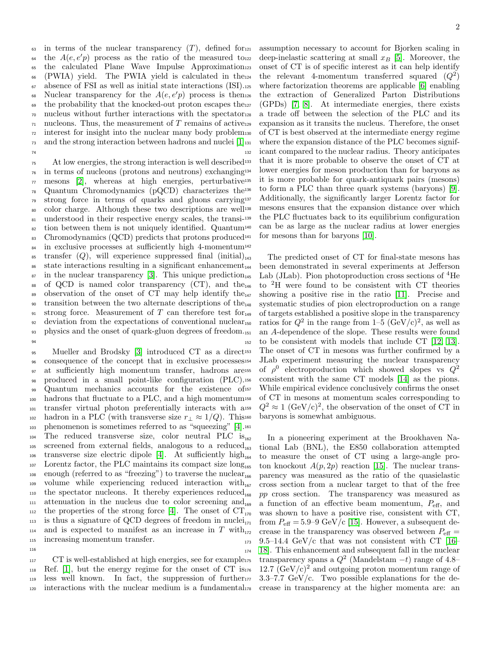$\omega$  in terms of the nuclear transparency  $(T)$ , defined for  $\omega$ <sup>64</sup> the  $A(e, e'p)$  process as the ratio of the measured to <sup>65</sup> the calculated Plane Wave Impulse Approximation<sub>123</sub> (PWIA) yield. The PWIA yield is calculated in the<sup>124</sup> <sup>67</sup> absence of FSI as well as initial state interactions (ISI). <sup>68</sup> Nuclear transparency for the  $A(e, e'p)$  process is then  $69$  the probability that the knocked-out proton escapes the  $127$ <sup>70</sup> nucleus without further interactions with the spectator  $\tau_1$  nucleons. Thus, the measurement of T remains of active<sub>129</sub> <sup>72</sup> interest for insight into the nuclear many body problem  $_{73}$  and the strong interaction between hadrons and nuclei  $[1]_{131}$  $[1]_{131}$ 74

75 At low energies, the strong interaction is well described<sup>133</sup>  $76$  in terms of nucleons (protons and neutrons) exchanging<sup>134</sup>  $\pi$  mesons [\[2\]](#page-5-1), whereas at high energies, perturbative<sup>135</sup>  $\eta_8$  Quantum Chromodynamics (pQCD) characterizes the  $\eta_8$ <sup>79</sup> strong force in terms of quarks and gluons carrying <sup>80</sup> color charge. Although these two descriptions are well 81 understood in their respective energy scales, the transi-139 <sup>82</sup> tion between them is not uniquely identified. Quantum<sup>140</sup> 83 Chromodynamics  $(QCD)$  predicts that protons produced<sup>141</sup> <sup>84</sup> in exclusive processes at sufficiently high 4-momentum 142  $\text{as}$  transfer  $(Q)$ , will experience suppressed final (initial)<sub>143</sub>  $_{36}$  state interactions resulting in a significant enhancement<sub>144</sub>  $\delta$ <sup>87</sup> in the nuclear transparency [\[3\]](#page-5-2). This unique prediction<sub>145</sub> 88 of QCD is named color transparency  $(CT)$ , and the<sub>146</sub> 89 observation of the onset of CT may help identify the $_{147}$ <sup>90</sup> transition between the two alternate descriptions of the<sub>148</sub> 91 strong force. Measurement of T can therefore test for  $_{149}$  $_{92}$  deviation from the expectations of conventional nuclear<sub>150</sub> 93 physics and the onset of quark-gluon degrees of freedom. 94

95 Mueller and Brodsky [\[3\]](#page-5-2) introduced CT as a direct<sup>153</sup> <sup>96</sup> consequence of the concept that in exclusive processes <sup>97</sup> at sufficiently high momentum transfer, hadrons are 155 <sup>98</sup> produced in a small point-like configuration (PLC). 99 Quantum mechanics accounts for the existence of 157 <sup>100</sup> hadrons that fluctuate to a PLC, and a high momentum <sup>101</sup> transfer virtual photon preferentially interacts with a 102 hadron in a PLC (with transverse size  $r_{\perp} \approx 1/Q$ ). This 160 <sup>103</sup> phenomenon is sometimes referred to as "squeezing" [\[4\]](#page-5-3). 161  $_{104}$  The reduced transverse size, color neutral PLC is<sub>162</sub>  $105$  screened from external fields, analogous to a reduced<sub>163</sub>  $_{106}$  transverse size electric dipole [\[4\]](#page-5-3). At sufficiently high<sub>164</sub> <sup>107</sup> Lorentz factor, the PLC maintains its compact size long<sub>165</sub>  $_{108}$  enough (referred to as "freezing") to traverse the nuclear  $_{109}$  volume while experiencing reduced interaction with  $_{110}$  the spectator nucleons. It thereby experiences reduced<sub>168</sub>  $_{111}$  attenuation in the nucleus due to color screening and<sub>169</sub> <sup>112</sup> the properties of the strong force [\[4\]](#page-5-3). The onset of  $CT_{170}$  $_{113}$  is thus a signature of QCD degrees of freedom in nuclei<sub>171</sub>  $_{114}$  and is expected to manifest as an increase in T with  $_{172}$ <sup>115</sup> increasing momentum transfer.

<sup>117</sup> CT is well-established at high energies, see for example<sub>175</sub>  $_{118}$  Ref. [\[1\]](#page-5-0), but the energy regime for the onset of CT is $_{176}$ <sup>119</sup> less well known. In fact, the suppression of further <sup>120</sup> interactions with the nuclear medium is a fundamental

116

assumption necessary to account for Bjorken scaling in deep-inelastic scattering at small  $x_B$  [\[5\]](#page-5-4). Moreover, the onset of CT is of specific interest as it can help identify <sup>124</sup> the relevant 4-momentum transferred squared  $(Q^2)$ where factorization theorems are applicable  $[6]$  enabling the extraction of Generalized Parton Distributions  $(GPDs)$  [\[7,](#page-5-6) [8\]](#page-5-7). At intermediate energies, there exists a trade off between the selection of the PLC and its expansion as it transits the nucleus. Therefore, the onset of CT is best observed at the intermediate energy regime where the expansion distance of the PLC becomes signif-<sup>132</sup> icant compared to the nuclear radius. Theory anticipates that it is more probable to observe the onset of CT at lower energies for meson production than for baryons as it is more probable for quark-antiquark pairs (mesons) to form a PLC than three quark systems (baryons) [\[9\]](#page-5-8). Additionally, the significantly larger Lorentz factor for mesons ensures that the expansion distance over which the PLC fluctuates back to its equilibrium configuration can be as large as the nuclear radius at lower energies for mesons than for baryons  $[10]$ .

The predicted onset of CT for final-state mesons has been demonstrated in several experiments at Jefferson  $_{145}$  Lab (JLab). Pion photoproduction cross sections of  $^{4}$ He to <sup>146</sup> <sup>2</sup>H were found to be consistent with CT theories showing a positive rise in the ratio  $[11]$ . Precise and systematic studies of pion electroproduction on a range of targets established a positive slope in the transparency <sup>150</sup> ratios for  $Q^2$  in the range from  $1-\overline{5}$  (GeV/c)<sup>2</sup>, as well as an A-dependence of the slope. These results were found <sup>152</sup> to be consistent with models that include CT [\[12,](#page-5-11) [13\]](#page-5-12). The onset of CT in mesons was further confirmed by a <sup>154</sup> JLab experiment measuring the nuclear transparency of  $\rho^0$  electroproduction which showed slopes vs  $Q^2$ consistent with the same CT models [\[14\]](#page-5-13) as the pions. While empirical evidence conclusively confirms the onset of CT in mesons at momentum scales corresponding to <sup>159</sup>  $Q^2 \approx 1 \text{ (GeV/c)}^2$ , the observation of the onset of CT in baryons is somewhat ambiguous.

In a pioneering experiment at the Brookhaven National Lab (BNL), the E850 collaboration attempted to measure the onset of CT using a large-angle proton knockout  $A(p, 2p)$  reaction [\[15\]](#page-5-14). The nuclear transparency was measured as the ratio of the quasielastic <sup>167</sup> cross section from a nuclear target to that of the free  $pp$  cross section. The transparency was measured as a function of an effective beam momentum,  $P_{\text{eff}}$ , and was shown to have a positive rise, consistent with CT, from  $P_{\text{eff}} = 5.9$ –9 GeV/c [\[15\]](#page-5-14). However, a subsequent decrease in the transparency was observed between  $P_{\text{eff}} =$  $173$  9.5–14.4 GeV/c that was not consistent with CT [\[16–](#page-5-15) <sup>174</sup> [18\]](#page-5-16). This enhancement and subsequent fall in the nuclear transparency spans a  $Q^2$  (Mandelstam  $-t$ ) range of 4.8–  $12.7 \text{ (GeV/c)}^2$  and outgoing proton momentum range of  $3.3-7.7 \text{ GeV/c}$ . Two possible explanations for the decrease in transparency at the higher momenta are: an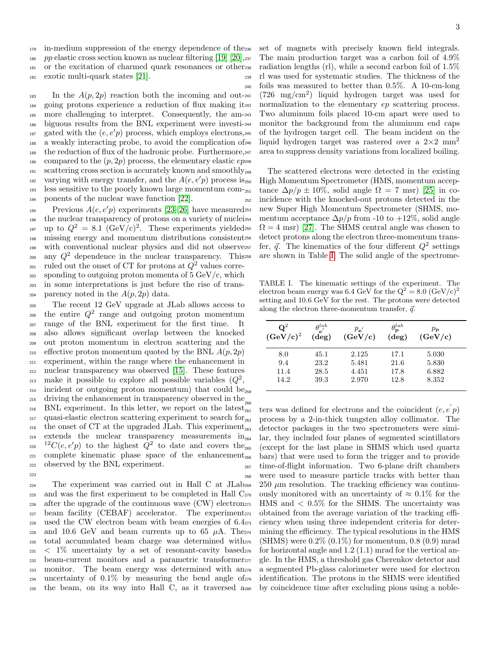179 in-medium suppression of the energy dependence of the<sub>236</sub>

180 pp elastic cross section known as nuclear filtering [\[19\]](#page-5-17) [\[20\]](#page-5-18),  $_{237}$ 

<sup>181</sup> or the excitation of charmed quark resonances or other

<sup>182</sup> exotic multi-quark states [\[21\]](#page-5-19).

183 In the  $A(p, 2p)$  reaction both the incoming and out-241 <sup>184</sup> going protons experience a reduction of flux making it <sup>185</sup> more challenging to interpret. Consequently, the am-<sup>186</sup> biguous results from the BNL experiment were investi- $_{187}$  gated with the  $(e, e'p)$  process, which employs electrons, <sup>188</sup> a weakly interacting probe, to avoid the complication of 246 189 the reduction of flux of the hadronic probe. Furthermore, 247 190 compared to the  $(p, 2p)$  process, the elementary elastic  $ep<sub>248</sub>$  $_{191}$  scattering cross section is accurately known and smoothly<sub>249</sub> varying with energy transfer, and the  $A(e, e'p)$  process is <sup>193</sup> less sensitive to the poorly known large momentum com-<sup>194</sup> ponents of the nuclear wave function [\[22\]](#page-5-20).

Previous  $A(e, e'p)$  experiments [\[23–](#page-5-21)[26\]](#page-5-22) have measured <sup>196</sup> the nuclear transparency of protons on a variety of nuclei <sup>197</sup> up to  $Q^2 = 8.1 \text{ (GeV/c)}^2$ . These experiments yielded <sup>198</sup> missing energy and momentum distributions consistent <sup>199</sup> with conventional nuclear physics and did not observe  $_{200}$  any  $Q^2$  dependence in the nuclear transparency. This  $_{201}$  ruled out the onset of CT for protons at  $Q^2$  values corre-202 sponding to outgoing proton momenta of  $5 \text{ GeV}/c$ , which <sup>203</sup> in some interpretations is just before the rise of trans-204 parency noted in the  $A(p, 2p)$  data.

<sup>205</sup> The recent 12 GeV upgrade at JLab allows access to  $_{206}$  the entire  $Q^2$  range and outgoing proton momentum <sup>207</sup> range of the BNL experiment for the first time. It <sup>208</sup> also allows significant overlap between the knocked <sup>209</sup> out proton momentum in electron scattering and the 210 effective proton momentum quoted by the BNL  $A(p, 2p)$ <sup>211</sup> experiment, within the range where the enhancement in <sup>212</sup> nuclear transparency was observed [\[15\]](#page-5-14). These features 213 make it possible to explore all possible variables  $(Q^2,$ <sup>214</sup> incident or outgoing proton momentum) that could be 259 <sup>215</sup> driving the enhancement in transparency observed in the <sup>260</sup> 216 BNL experiment. In this letter, we report on the latest<sub>261</sub>  $_{217}$  quasi-elastic electron scattering experiment to search for  $_{262}$ <sup>218</sup> the onset of CT at the upgraded JLab. This experiment <sup>219</sup> extends the nuclear transparency measurements in  $220 \t 12C(e,e'p)$  to the highest  $Q^2$  to date and covers the  $_{221}$  complete kinematic phase space of the enhancement<sub>266</sub> <sup>222</sup> observed by the BNL experiment. 223

 The experiment was carried out in Hall C at JLab and was the first experiment to be completed in Hall C  $_{226}$  after the upgrade of the continuous wave (CW) electron  $_{271}$  beam facility (CEBAF) accelerator. The experiment used the CW electron beam with beam energies of 6.4 229 and 10.6 GeV and beam currents up to 65  $\mu$ A. The<sub>274</sub> total accumulated beam charge was determined with  $_{231}$  < 1\% uncertainty by a set of resonant-cavity based  $_{276}$  beam-current monitors and a parametric transformer monitor. The beam energy was determined with an uncertainty of 0.1% by measuring the bend angle of the beam, on its way into Hall C, as it traversed a

set of magnets with precisely known field integrals. The main production target was a carbon foil of  $4.9\%$ radiation lengths (rl), while a second carbon foil of  $1.5\%$ <sup>239</sup> rl was used for systematic studies. The thickness of the <sup>240</sup> foils was measured to better than 0.5%. A 10-cm-long  $_{241}$  (726 mg/cm<sup>2</sup>) liquid hydrogen target was used for normalization to the elementary  $ep$  scattering process. Two aluminum foils placed 10-cm apart were used to monitor the background from the aluminum end caps of the hydrogen target cell. The beam incident on the liquid hydrogen target was rastered over a  $2\times2$  mm<sup>2</sup> area to suppress density variations from localized boiling.

The scattered electrons were detected in the existing High Momentum Spectrometer (HMS, momentum acceptance  $\Delta p/p \pm 10\%$ , solid angle  $\Omega = 7$  msr) [\[25\]](#page-5-23) in co-<sup>252</sup> incidence with the knocked-out protons detected in the new Super High Momentum Spectrometer (SHMS, momentum acceptance  $\Delta p/p$  from -10 to +12%, solid angle  $\Omega = 4$  msr) [\[27\]](#page-5-24). The SHMS central angle was chosen to detect protons along the electron three-momentum trans-<sup>257</sup> fer,  $\vec{q}$ . The kinematics of the four different  $Q^2$  settings are shown in Table [I.](#page-2-0) The solid angle of the spectrome-

<span id="page-2-0"></span>TABLE I. The kinematic settings of the experiment. The electron beam energy was 6.4 GeV for the  $Q^2 = 8.0$  (GeV/c)<sup>2</sup> setting and 10.6 GeV for the rest. The protons were detected along the electron three-momentum transfer,  $\vec{q}$ .

| $\mathbf{Q}^2$<br>$(GeV/c)^2$ | $\theta^{lab}$<br>$\cdot$ e<br>$(\text{deg})$ | $p_{\mathbf{e}'}$<br>(GeV/c) | $\theta_{\bf p}^{lab}$<br>$(\text{deg})$ | $p_{\bf p}$<br>(GeV/c) |
|-------------------------------|-----------------------------------------------|------------------------------|------------------------------------------|------------------------|
| 8.0                           | 45.1                                          | 2.125                        | 17.1                                     | 5.030                  |
| 9.4                           | 23.2                                          | 5.481                        | 21.6                                     | 5.830                  |
| 11.4                          | 28.5                                          | 4.451                        | 17.8                                     | 6.882                  |
| 14.2                          | 39.3                                          | 2.970                        | 12.8                                     | 8.352                  |

ters was defined for electrons and the coincident  $(e, e)p$ process by a 2-in-thick tungsten alloy collimator. The detector packages in the two spectrometers were similar, they included four planes of segmented scintillators (except for the last plane in SHMS which used quartz) bars) that were used to form the trigger and to provide <sup>267</sup> time-of-flight information. Two 6-plane drift chambers <sup>268</sup> were used to measure particle tracks with better than  $250 \mu m$  resolution. The tracking efficiency was continuously monitored with an uncertainty of  $\approx 0.1\%$  for the HMS and  $\langle 0.5\%$  for the SHMS. The uncertainty was obtained from the average variation of the tracking efficiency when using three independent criteria for determining the efficiency. The typical resolutions in the HMS  $(SHMS)$  were 0.2%  $(0.1\%)$  for momentum, 0.8  $(0.9)$  mrad for horizontal angle and  $1.2$  (1.1) mrad for the vertical angle. In the HMS, a threshold gas Cherenkov detector and a segmented Pb-glass calorimeter were used for electron identification. The protons in the SHMS were identified by coincidence time after excluding pions using a noble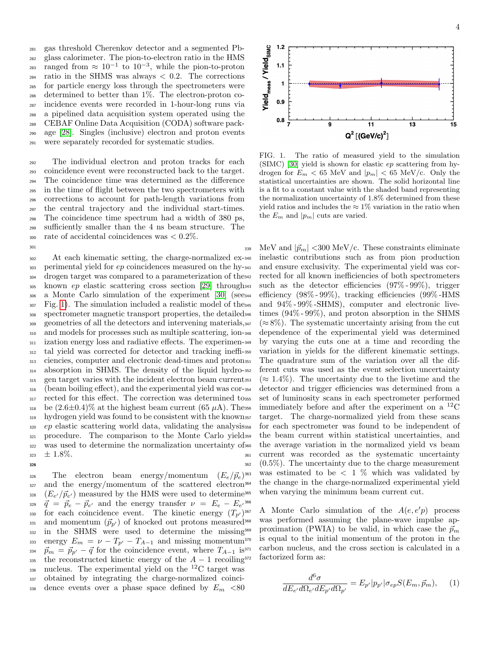gas threshold Cherenkov detector and a segmented Pb- glass calorimeter. The pion-to-electron ratio in the HMS <sup>283</sup> ranged from  $\approx 10^{-1}$  to  $10^{-3}$ , while the pion-to-proton  $_{284}$  ratio in the SHMS was always  $< 0.2$ . The corrections for particle energy loss through the spectrometers were determined to better than 1%. The electron-proton co- incidence events were recorded in 1-hour-long runs via a pipelined data acquisition system operated using the CEBAF Online Data Acquisition (CODA) software pack- age [\[28\]](#page-5-25). Singles (inclusive) electron and proton events were separately recorded for systematic studies.

 The individual electron and proton tracks for each coincidence event were reconstructed back to the target. The coincidence time was determined as the difference in the time of flight between the two spectrometers with corrections to account for path-length variations from the central trajectory and the individual start-times. The coincidence time spectrum had a width of 380 ps, sufficiently smaller than the 4 ns beam structure. The 300 rate of accidental coincidences was  $< 0.2\%$ .

 At each kinematic setting, the charge-normalized ex-303 perimental yield for ep coincidences measured on the hy-341 drogen target was compared to a parameterization of the known ep elastic scattering cross section [\[29\]](#page-5-26) through a Monte Carlo simulation of the experiment [\[30\]](#page-5-27) (see Fig. [1\)](#page-3-0). The simulation included a realistic model of the spectrometer magnetic transport properties, the detailed geometries of all the detectors and intervening materials, and models for processes such as multiple scattering, ion- ization energy loss and radiative effects. The experimen- tal yield was corrected for detector and tracking ineffi- ciencies, computer and electronic dead-times and proton absorption in SHMS. The density of the liquid hydro- gen target varies with the incident electron beam current (beam boiling effect), and the experimental yield was cor-317 rected for this effect. The correction was determined tosss 318 be  $(2.6\pm0.4)\%$  at the highest beam current (65  $\mu$ A). Thess hydrogen yield was found to be consistent with the known 320 ep elastic scattering world data, validating the analysis358 procedure. The comparison to the Monte Carlo yield was used to determine the normalization uncertainty of  $323 \pm 1.8\%.$ 



301

326 The electron beam energy/momentum  $(E_e/\vec{p}_e)^{363}$ 327 and the energy/momentum of the scattered electron<sup>364</sup> <sup>328</sup>  $(E_{e'}/\vec{p}_{e'})$  measured by the HMS were used to determine <sup>329</sup>  $\vec{q} = \vec{p}_e - \vec{p}_{e'}$  and the energy transfer  $\nu = E_e - E_{e'}$ <sup>366</sup> 330 for each coincidence event. The kinetic energy  $(T_{p'})^{367}$ 331 and momentum  $(\vec{p}_{p'})$  of knocked out protons measured<sup>368</sup> 332 in the SHMS were used to determine the missing<sup>369</sup> 333 energy  $E_m = \nu - T_{p'} - T_{A-1}$  and missing momentum<sup>370</sup> 334  $\vec{p}_m = \vec{p}_{p'} - \vec{q}$  for the coincidence event, where  $T_{A-1}$  is<sup>371</sup> 335 the reconstructed kinetic energy of the  $A-1$  recoiling<sup>372</sup>  $336$  nucleus. The experimental yield on the  $^{12}$ C target was <sup>337</sup> obtained by integrating the charge-normalized coinci-338 dence events over a phase space defined by  $E_m < 80$ 



<span id="page-3-0"></span>FIG. 1. The ratio of measured yield to the simulation  $(SIMC)$  [\[30\]](#page-5-27) yield is shown for elastic ep scattering from hydrogen for  $E_m < 65$  MeV and  $|p_m| < 65$  MeV/c. Only the statistical uncertainties are shown. The solid horizontal line is a fit to a constant value with the shaded band representing the normalization uncertainty of 1.8% determined from these yield ratios and includes the  $\approx 1\%$  variation in the ratio when the  $E_m$  and  $|p_m|$  cuts are varied.

339 MeV and  $|\vec{p}_m|$  < 300 MeV/c. These constraints eliminate inelastic contributions such as from pion production and ensure exclusivity. The experimental yield was corrected for all known inefficiencies of both spectrometers such as the detector efficiencies  $(97\% - 99\%)$ , trigger efficiency  $(98\% - 99\%)$ , tracking efficiencies  $(99\% - HMS)$ and  $94\%$  -  $99\%$  -SHMS), computer and electronic livetimes  $(94\% - 99\%)$ , and proton absorption in the SHMS  $(\approx 8\%)$ . The systematic uncertainty arising from the cut dependence of the experimental yield was determined by varying the cuts one at a time and recording the variation in yields for the different kinematic settings. The quadrature sum of the variation over all the different cuts was used as the event selection uncertainty  $(\approx 1.4\%)$ . The uncertainty due to the livetime and the detector and trigger efficiencies was determined from a set of luminosity scans in each spectrometer performed  $\frac{12}{356}$  immediately before and after the experiment on a  $^{12}$ C target. The charge-normalized yield from these scans for each spectrometer was found to be independent of the beam current within statistical uncertainties, and the average variation in the normalized yield vs beam <sup>361</sup> current was recorded as the systematic uncertainty <sup>362</sup> (0.5%). The uncertainty due to the charge measurement was estimated to be  $\langle 1 \rangle$  which was validated by the change in the charge-normalized experimental yield when varying the minimum beam current cut.

367 A Monte Carlo simulation of the  $A(e, e'p)$  process was performed assuming the plane-wave impulse approximation (PWIA) to be valid, in which case the  $\vec{p}_m$ is equal to the initial momentum of the proton in the carbon nucleus, and the cross section is calculated in a factorized form as:

$$
\frac{d^6\sigma}{dE_{e'}d\Omega_{e'}dE_{p'}d\Omega_{p'}} = E_{p'}|p_{p'}|\sigma_{ep}S(E_m, \vec{p}_m),\qquad(1)
$$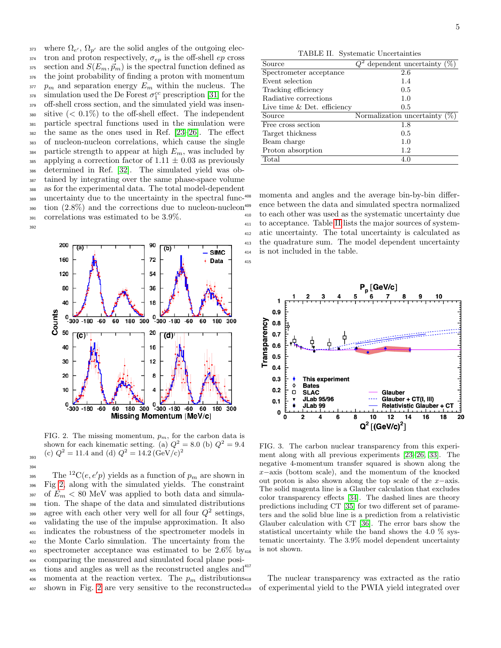373 where  $\Omega_{e'}$ ,  $\Omega_{p'}$  are the solid angles of the outgoing elec- $374$  tron and proton respectively,  $\sigma_{ep}$  is the off-shell ep cross 375 section and  $S(E_m, \vec{p}_m)$  is the spectral function defined as <sup>376</sup> the joint probability of finding a proton with momentum  $\mathfrak{p}_m$  and separation energy  $E_m$  within the nucleus. The <sup>378</sup> simulation used the De Forest  $\sigma_1^{cc}$  prescription [\[31\]](#page-5-28) for the <sup>379</sup> off-shell cross section, and the simulated yield was insen-380 sitive  $( $0.1\%$ )$  to the off-shell effect. The independent <sup>381</sup> particle spectral functions used in the simulation were <sup>382</sup> the same as the ones used in Ref. [\[23–](#page-5-21)[26\]](#page-5-22). The effect <sup>383</sup> of nucleon-nucleon correlations, which cause the single 384 particle strength to appear at high  $E_m$ , was included by 385 applying a correction factor of  $1.11 \pm 0.03$  as previously <sup>386</sup> determined in Ref. [\[32\]](#page-5-29). The simulated yield was ob-<sup>387</sup> tained by integrating over the same phase-space volume <sup>388</sup> as for the experimental data. The total model-dependent 389 uncertainty due to the uncertainty in the spectral func-408  $\frac{390}{2}$  tion  $(2.8\%)$  and the corrections due to nucleon-nucleon<sup>409</sup> <sup>391</sup> correlations was estimated to be 3.9%. 392



<span id="page-4-0"></span>FIG. 2. The missing momentum,  $p_m$ , for the carbon data is shown for each kinematic setting. (a)  $Q^2 = 8.0$  (b)  $Q^2 = 9.4$ (c)  $Q^2 = 11.4$  and (d)  $Q^2 = 14.2 \, (\text{GeV/c})^2$ 

393 394

<sup>395</sup> The <sup>12</sup>C(*e*, *e'p*) yields as a function of  $p_m$  are shown in <sup>396</sup> Fig [2,](#page-4-0) along with the simulated yields. The constraint 397 of  $E_m < 80$  MeV was applied to both data and simula-<sup>398</sup> tion. The shape of the data and simulated distributions agree with each other very well for all four  $Q^2$  settings, <sup>400</sup> validating the use of the impulse approximation. It also <sup>401</sup> indicates the robustness of the spectrometer models in <sup>402</sup> the Monte Carlo simulation. The uncertainty from the 403 spectrometer acceptance was estimated to be  $2.6\%$  by  $416$ <sup>404</sup> comparing the measured and simulated focal plane posi-<sup>405</sup> tions and angles as well as the reconstructed angles and<sup>417</sup> 406 momenta at the reaction vertex. The  $p_m$  distributions. <sup>407</sup> shown in Fig. [2](#page-4-0) are very sensitive to the reconstructed

<span id="page-4-1"></span>TABLE II. Systematic Uncertainties

| Source                        | $Q^2$ dependent uncertainty (%)  |
|-------------------------------|----------------------------------|
| Spectrometer acceptance       | 2.6                              |
| Event selection               | 1.4                              |
| Tracking efficiency           | 0.5                              |
| Radiative corrections         | 1.0                              |
| Live time $&$ Det. efficiency | 0.5                              |
| Source                        | Normalization uncertainty $(\%)$ |
| Free cross section            | 1.8                              |
| Target thickness              | 0.5                              |
| Beam charge                   | 1.0                              |
| Proton absorption             | 1.2                              |
| Total                         | 4.0                              |

momenta and angles and the average bin-by-bin difference between the data and simulated spectra normalized to each other was used as the systematic uncertainty due <sup>411</sup> to acceptance. Table [II](#page-4-1) lists the major sources of system-<sup>412</sup> atic uncertainty. The total uncertainty is calculated as <sup>413</sup> the quadrature sum. The model dependent uncertainty <sup>414</sup> is not included in the table.



<span id="page-4-2"></span>FIG. 3. The carbon nuclear transparency from this experiment along with all previous experiments [\[23](#page-5-21)[–26,](#page-5-22) [33\]](#page-5-30). The negative 4-momentum transfer squared is shown along the x−axis (bottom scale), and the momentum of the knocked out proton is also shown along the top scale of the  $x$ −axis. The solid magenta line is a Glauber calculation that excludes color transparency effects [\[34\]](#page-5-31). The dashed lines are theory predictions including CT [\[35\]](#page-5-32) for two different set of parameters and the solid blue line is a prediction from a relativistic Glauber calculation with CT [\[36\]](#page-5-33). The error bars show the statistical uncertainty while the band shows the 4.0 % systematic uncertainty. The 3.9% model dependent uncertainty is not shown.

The nuclear transparency was extracted as the ratio of experimental yield to the PWIA yield integrated over